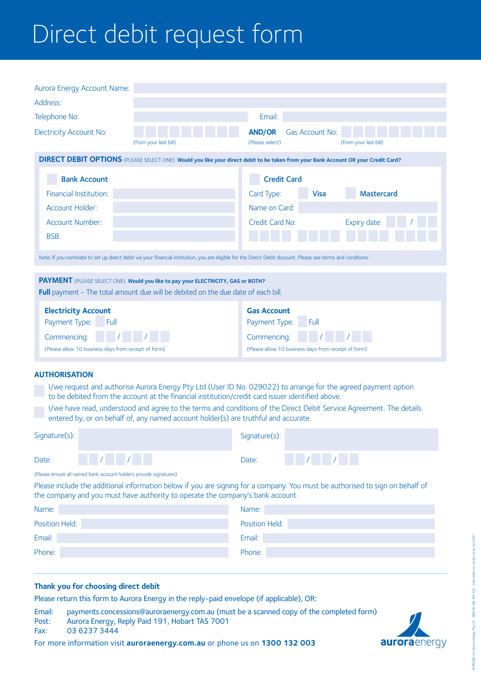# Direct debit request form

| Aurora Energy Account Name:                                                                                                                                                                                                                                                                                                                                                                                                                              |                       |                                                                                                                    |  |  |
|----------------------------------------------------------------------------------------------------------------------------------------------------------------------------------------------------------------------------------------------------------------------------------------------------------------------------------------------------------------------------------------------------------------------------------------------------------|-----------------------|--------------------------------------------------------------------------------------------------------------------|--|--|
| Address:                                                                                                                                                                                                                                                                                                                                                                                                                                                 |                       |                                                                                                                    |  |  |
| Telephone No:                                                                                                                                                                                                                                                                                                                                                                                                                                            |                       | Email:                                                                                                             |  |  |
| <b>Electricity Account No:</b>                                                                                                                                                                                                                                                                                                                                                                                                                           | (from your last bill) | <b>AND/OR</b><br>Gas Account No:<br>(Please select)<br>(from your last bill)                                       |  |  |
| <b>DIRECT DEBIT OPTIONS</b> (PLEASE SELECT ONE) Would you like your direct debit to be taken from your Bank Account OR your Credit Card?                                                                                                                                                                                                                                                                                                                 |                       |                                                                                                                    |  |  |
| <b>Bank Account</b><br>Financial Institution:<br>Account Holder:                                                                                                                                                                                                                                                                                                                                                                                         |                       | <b>Credit Card</b><br><b>Mastercard</b><br>Card Type:<br><b>Visa</b><br>Name on Card:                              |  |  |
| Account Number:<br>BSB:                                                                                                                                                                                                                                                                                                                                                                                                                                  |                       | Credit Card No:<br>Expiry date:                                                                                    |  |  |
| Note: If you nominate to set up direct debit via your financial institution, you are eligible for the Direct Debit discount. Please see terms and conditions.                                                                                                                                                                                                                                                                                            |                       |                                                                                                                    |  |  |
| PAYMENT (PLEASE SELECT ONE) Would you like to pay your ELECTRICITY, GAS or BOTH?<br>Full payment - The total amount due will be debited on the due date of each bill.                                                                                                                                                                                                                                                                                    |                       |                                                                                                                    |  |  |
| <b>Electricity Account</b><br>Payment Type:<br>Full<br>Commencing:<br>(Please allow 10 business days from receipt of form)                                                                                                                                                                                                                                                                                                                               |                       | <b>Gas Account</b><br>Payment Type:<br>Full<br>Commencing:<br>(Please allow 10 business days from receipt of form) |  |  |
| <b>AUTHORISATION</b><br>I/we request and authorise Aurora Energy Pty Ltd (User ID No. 029022) to arrange for the agreed payment option<br>to be debited from the account at the financial institution/credit card issuer identified above.<br>I/we have read, understood and agree to the terms and conditions of the Direct Debit Service Agreement. The details<br>entered by, or on behalf of, any named account holder(s) are truthful and accurate. |                       |                                                                                                                    |  |  |
| Signature(s):                                                                                                                                                                                                                                                                                                                                                                                                                                            |                       | Signature(s):                                                                                                      |  |  |
| Date:                                                                                                                                                                                                                                                                                                                                                                                                                                                    |                       | Date:                                                                                                              |  |  |

(Please ensure all named bank account holders provide signatures)

Please include the additional information below if you are signing for a company. You must be authorised to sign on behalf of the company and you must have authority to operate the company's bank account.

| Name:          | Name:          |
|----------------|----------------|
| Position Held: | Position Held: |
| Email:         | Email:         |
| Phone:         | Phone:         |

# **Thank you for choosing direct debit**

Please return this form to Aurora Energy in the reply-paid envelope (if applicable), OR:

Email: payments.concessions@auroraenergy.com.au (must be a scanned copy of the completed form) Post: Aurora Energy, Reply Paid 191, Hobart TAS 7001

Fax: 03 6237 3444

For more information visit **auroraenergy.com.au** or phone us on **1300 132 003**